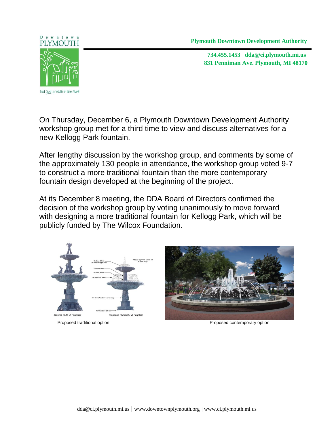**Plymouth Downtown Development Authority** 

**831 Penniman Ave. Plymouth, MI 48170 734.455.1453 dda@ci.plymouth.mi.us**



Downtown

Not Just a Walk in the Park

On Thursday, December 6, a Plymouth Downtown Development Authority workshop group met for a third time to view and discuss alternatives for a new Kellogg Park fountain.

After lengthy discussion by the workshop group, and comments by some of the approximately 130 people in attendance, the workshop group voted 9-7 to construct a more traditional fountain than the more contemporary fountain design developed at the beginning of the project.

At its December 8 meeting, the DDA Board of Directors confirmed the decision of the workshop group by voting unanimously to move forward with designing a more traditional fountain for Kellogg Park, which will be publicly funded by The Wilcox Foundation.





Proposed traditional option Proposed contemporary option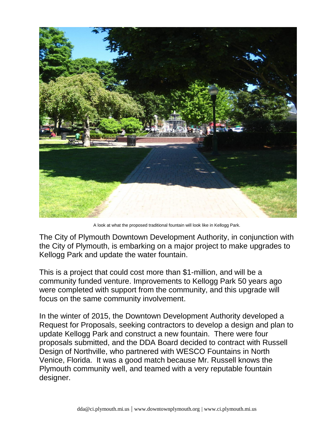

A look at what the proposed traditional fountain will look like in Kellogg Park.

The City of Plymouth Downtown Development Authority, in conjunction with the City of Plymouth, is embarking on a major project to make upgrades to Kellogg Park and update the water fountain.

This is a project that could cost more than \$1-million, and will be a community funded venture. Improvements to Kellogg Park 50 years ago were completed with support from the community, and this upgrade will focus on the same community involvement.

In the winter of 2015, the Downtown Development Authority developed a Request for Proposals, seeking contractors to develop a design and plan to update Kellogg Park and construct a new fountain. There were four proposals submitted, and the DDA Board decided to contract with Russell Design of Northville, who partnered with WESCO Fountains in North Venice, Florida. It was a good match because Mr. Russell knows the Plymouth community well, and teamed with a very reputable fountain designer.